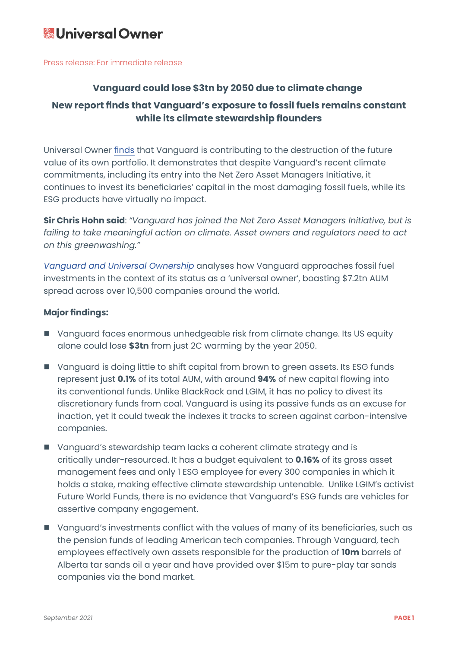# **& Universal Owner**

Press release: For immediate release

### **Vanguard could lose \$3tn by 2050 due to climate change**

## **New report finds that Vanguard's exposure to fossil fuels remains constant while its climate stewardship flounders**

Universal Owner finds that Vanguard is contributing to the destruction of the future value of its own portfolio. It demonstrates that despite Vanguard's recent climate commitments, including its entry into the Net Zero Asset Managers Initiative, it continues to invest its beneficiaries' capital in the most damaging fossil fuels, while its ESG products have virtually no impact.

**Sir Chris Hohn said**: *"Vanguard has joined the Net Zero Asset Managers Initiative, but is failing to take meaningful action on climate. Asset owners and regulators need to act on this greenwashing."*

*Vanguard and Universal Ownership* analyses how Vanguard approaches fossil fuel investments in the context of its status as a 'universal owner', boasting \$7.2tn AUM spread across over 10,500 companies around the world.

#### **Major findings:**

- Vanguard faces enormous unhedgeable risk from climate change. Its US equity alone could lose **\$3tn** from just 2C warming by the year 2050.
- Vanguard is doing little to shift capital from brown to green assets. Its ESG funds represent just **0.1%** of its total AUM, with around **94%** of new capital flowing into its conventional funds. Unlike BlackRock and LGIM, it has no policy to divest its discretionary funds from coal. Vanguard is using its passive funds as an excuse for inaction, yet it could tweak the indexes it tracks to screen against carbon-intensive companies.
- Vanguard's stewardship team lacks a coherent climate strategy and is critically under-resourced. It has a budget equivalent to **0.16%** of its gross asset management fees and only 1 ESG employee for every 300 companies in which it holds a stake, making effective climate stewardship untenable. Unlike LGIM's activist Future World Funds, there is no evidence that Vanguard's ESG funds are vehicles for assertive company engagement.
- Vanguard's investments conflict with the values of many of its beneficiaries, such as the pension funds of leading American tech companies. Through Vanguard, tech employees effectively own assets responsible for the production of **10m** barrels of Alberta tar sands oil a year and have provided over \$15m to pure-play tar sands companies via the bond market.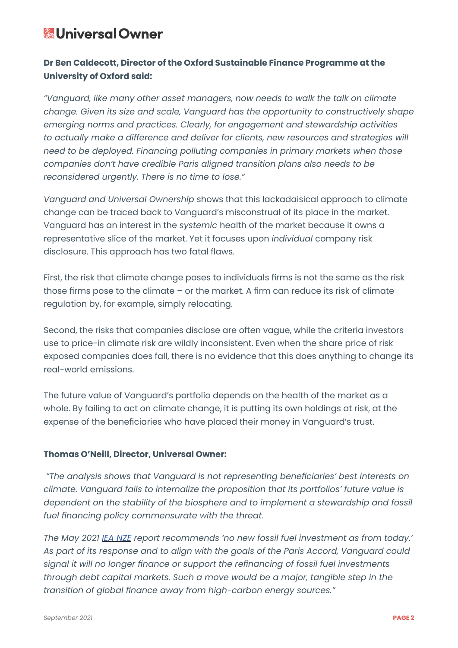## **& Universal Owner**

## **Dr Ben Caldecott, Director of the Oxford Sustainable Finance Programme at the University of Oxford said:**

*"Vanguard, like many other asset managers, now needs to walk the talk on climate change. Given its size and scale, Vanguard has the opportunity to constructively shape emerging norms and practices. Clearly, for engagement and stewardship activities to actually make a difference and deliver for clients, new resources and strategies will need to be deployed. Financing polluting companies in primary markets when those companies don't have credible Paris aligned transition plans also needs to be reconsidered urgently. There is no time to lose."*

*Vanguard and Universal Ownership* shows that this lackadaisical approach to climate change can be traced back to Vanguard's misconstrual of its place in the market. Vanguard has an interest in the *systemic* health of the market because it owns a representative slice of the market. Yet it focuses upon *individual* company risk disclosure. This approach has two fatal flaws.

First, the risk that climate change poses to individuals firms is not the same as the risk those firms pose to the climate – or the market. A firm can reduce its risk of climate regulation by, for example, simply relocating.

Second, the risks that companies disclose are often vague, while the criteria investors use to price-in climate risk are wildly inconsistent. Even when the share price of risk exposed companies does fall, there is no evidence that this does anything to change its real-world emissions.

The future value of Vanguard's portfolio depends on the health of the market as a whole. By failing to act on climate change, it is putting its own holdings at risk, at the expense of the beneficiaries who have placed their money in Vanguard's trust.

#### **Thomas O'Neill, Director, Universal Owner:**

 *"The analysis shows that Vanguard is not representing beneficiaries' best interests on climate. Vanguard fails to internalize the proposition that its portfolios' future value is dependent on the stability of the biosphere and to implement a stewardship and fossil fuel financing policy commensurate with the threat.*

*The May 2021 IEA NZE report recommends 'no new fossil fuel investment as from today.' As part of its response and to align with the goals of the Paris Accord, Vanguard could signal it will no longer finance or support the refinancing of fossil fuel investments through debt capital markets. Such a move would be a major, tangible step in the transition of global finance away from high-carbon energy sources."*